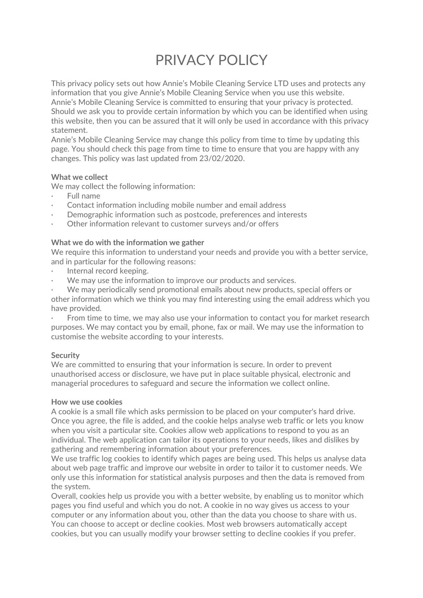# PRIVACY POLICY

This privacy policy sets out how Annie's Mobile Cleaning Service LTD uses and protects any information that you give Annie's Mobile Cleaning Service when you use this website. Annie's Mobile Cleaning Service is committed to ensuring that your privacy is protected. Should we ask you to provide certain information by which you can be identified when using this website, then you can be assured that it will only be used in accordance with this privacy statement.

Annie's Mobile Cleaning Service may change this policy from time to time by updating this page. You should check this page from time to time to ensure that you are happy with any changes. This policy was last updated from 23/02/2020.

# **What we collect**

We may collect the following information:

- Full name
- Contact information including mobile number and email address
- Demographic information such as postcode, preferences and interests
- Other information relevant to customer surveys and/or offers

#### **What we do with the information we gather**

We require this information to understand your needs and provide you with a better service, and in particular for the following reasons:

- Internal record keeping.
- We may use the information to improve our products and services.

We may periodically send promotional emails about new products, special offers or other information which we think you may find interesting using the email address which you have provided.

From time to time, we may also use your information to contact you for market research purposes. We may contact you by email, phone, fax or mail. We may use the information to customise the website according to your interests.

#### **Security**

We are committed to ensuring that your information is secure. In order to prevent unauthorised access or disclosure, we have put in place suitable physical, electronic and managerial procedures to safeguard and secure the information we collect online.

#### **How we use cookies**

A cookie is a small file which asks permission to be placed on your computer's hard drive. Once you agree, the file is added, and the cookie helps analyse web traffic or lets you know when you visit a particular site. Cookies allow web applications to respond to you as an individual. The web application can tailor its operations to your needs, likes and dislikes by gathering and remembering information about your preferences.

We use traffic log cookies to identify which pages are being used. This helps us analyse data about web page traffic and improve our website in order to tailor it to customer needs. We only use this information for statistical analysis purposes and then the data is removed from the system.

Overall, cookies help us provide you with a better website, by enabling us to monitor which pages you find useful and which you do not. A cookie in no way gives us access to your computer or any information about you, other than the data you choose to share with us. You can choose to accept or decline cookies. Most web browsers automatically accept cookies, but you can usually modify your browser setting to decline cookies if you prefer.